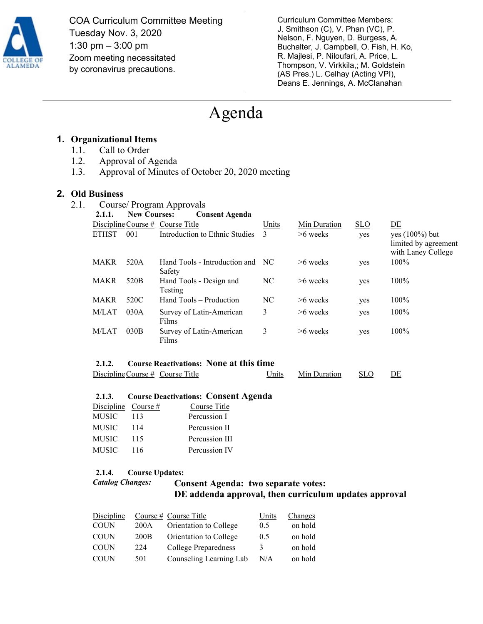

COA Curriculum Committee Meeting Tuesday Nov. 3, 2020 1:30 pm – 3:00 pm Zoom meeting necessitated by coronavirus precautions.

Curriculum Committee Members: J. Smithson (C), V. Phan (VC), P. Nelson, F. Nguyen, D. Burgess, A. Buchalter, J. Campbell, O. Fish, H. Ko, R. Majlesi, P. Niloufari, A. Price, L. Thompson, V. Virkkila,; M. Goldstein (AS Pres.) L. Celhay (Acting VPI), Deans E. Jennings, A. McClanahan

# Agenda

# **1. Organizational Items**

- 1.1. Call to Order
- 1.2. Approval of Agenda
- 1.3. Approval of Minutes of October 20, 2020 meeting

#### **2. Old Business**

| 2.1. | Course/ Program Approvals        |                     |                                         |       |              |     |                                                                 |
|------|----------------------------------|---------------------|-----------------------------------------|-------|--------------|-----|-----------------------------------------------------------------|
|      | 2.1.1.                           | <b>New Courses:</b> | <b>Consent Agenda</b>                   |       |              |     |                                                                 |
|      | Discipline Course # Course Title |                     |                                         | Units | Min Duration | SLO | DE                                                              |
|      | <b>ETHST</b>                     | 001                 | Introduction to Ethnic Studies          | 3     | $>6$ weeks   | yes | yes $(100\%)$ but<br>limited by agreement<br>with Laney College |
|      | <b>MAKR</b>                      | 520A                | Hand Tools - Introduction and<br>Safety | NC.   | $>6$ weeks   | yes | $100\%$                                                         |
|      | <b>MAKR</b>                      | 520 <sub>B</sub>    | Hand Tools - Design and<br>Testing      | NC    | $>6$ weeks   | yes | 100%                                                            |
|      | <b>MAKR</b>                      | 520C                | Hand Tools – Production                 | NC    | $>6$ weeks   | yes | 100%                                                            |
|      | M/LAT                            | 030A                | Survey of Latin-American<br>Films       | 3     | $>6$ weeks   | yes | 100%                                                            |
|      | M/LAT                            | 030B                | Survey of Latin-American<br>Films       | 3     | $>6$ weeks   | yes | 100%                                                            |

#### **2.1.2. Course Reactivations: None at this time**

| Discipline Course # Course Title | Units | Min Duration | <b>SLO</b> | DE |
|----------------------------------|-------|--------------|------------|----|
|----------------------------------|-------|--------------|------------|----|

#### **2.1.3. Course Deactivations: Consent Agenda**

| Discipline Course # |     | Course Title   |
|---------------------|-----|----------------|
| MUSIC               | 113 | Percussion I   |
| MUSIC               | 114 | Percussion II  |
| MUSIC               | 115 | Percussion III |
| MUSIC               | 116 | Percussion IV  |

#### **2.1.4. Course Updates:**

# *Catalog Changes:* **Consent Agenda: two separate votes: DE addenda approval, then curriculum updates approval**

| Discipline  |                  | Course # Course Title   | Units | Changes |
|-------------|------------------|-------------------------|-------|---------|
| <b>COUN</b> | 200A             | Orientation to College  | 0.5   | on hold |
| <b>COUN</b> | 200 <sub>B</sub> | Orientation to College  | 0.5   | on hold |
| <b>COUN</b> | 224              | College Preparedness    | 3     | on hold |
| <b>COUN</b> | 501              | Counseling Learning Lab | N/A   | on hold |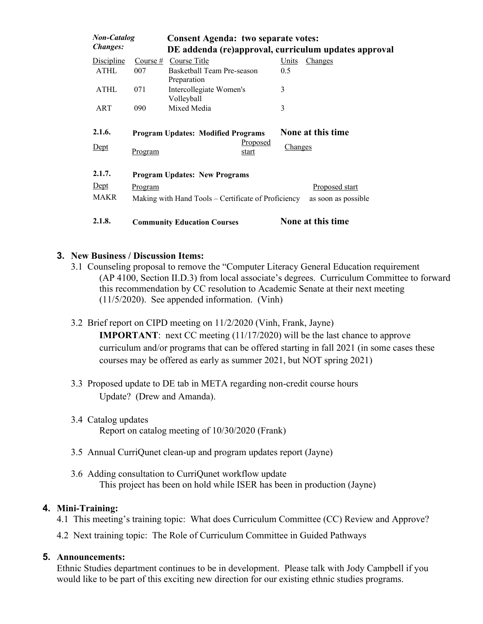| <b>Non-Catalog</b><br><b>Changes:</b> |                   | <b>Consent Agenda: two separate votes:</b><br>DE addenda (re)approval, curriculum updates approval |                                       |  |  |
|---------------------------------------|-------------------|----------------------------------------------------------------------------------------------------|---------------------------------------|--|--|
| <b>Discipline</b><br><b>ATHL</b>      | Course $#$<br>007 | Course Title<br>Basketball Team Pre-season<br>Preparation                                          | Units<br>Changes<br>0.5               |  |  |
| <b>ATHL</b>                           | 071               | Intercollegiate Women's<br>Volleyball                                                              | 3                                     |  |  |
| ART                                   | 090               | Mixed Media                                                                                        | 3                                     |  |  |
| 2.1.6.<br>Dept                        | Program           | <b>Program Updates: Modified Programs</b><br>Proposed<br>start                                     | None at this time<br><b>Changes</b>   |  |  |
| 2.1.7.<br>$Depth$<br><b>MAKR</b>      | Program           | <b>Program Updates: New Programs</b><br>Making with Hand Tools – Certificate of Proficiency        | Proposed start<br>as soon as possible |  |  |
| 2.1.8.                                |                   | <b>Community Education Courses</b>                                                                 | None at this time                     |  |  |

#### **3. New Business / Discussion Items:**

- 3.1 Counseling proposal to remove the "Computer Literacy General Education requirement (AP 4100, Section II.D.3) from local associate's degrees. Curriculum Committee to forward this recommendation by CC resolution to Academic Senate at their next meeting (11/5/2020). See appended information. (Vinh)
- 3.2 Brief report on CIPD meeting on 11/2/2020 (Vinh, Frank, Jayne)

**IMPORTANT**: next CC meeting (11/17/2020) will be the last chance to approve curriculum and/or programs that can be offered starting in fall 2021 (in some cases these courses may be offered as early as summer 2021, but NOT spring 2021)

- 3.3 Proposed update to DE tab in META regarding non-credit course hours Update? (Drew and Amanda).
- 3.4 Catalog updates Report on catalog meeting of 10/30/2020 (Frank)
- 3.5 Annual CurriQunet clean-up and program updates report (Jayne)
- 3.6 Adding consultation to CurriQunet workflow update This project has been on hold while ISER has been in production (Jayne)

# **4. Mini-Training:**

- 4.1 This meeting's training topic: What does Curriculum Committee (CC) Review and Approve?
- 4.2 Next training topic: The Role of Curriculum Committee in Guided Pathways

#### **5. Announcements:**

Ethnic Studies department continues to be in development. Please talk with Jody Campbell if you would like to be part of this exciting new direction for our existing ethnic studies programs.